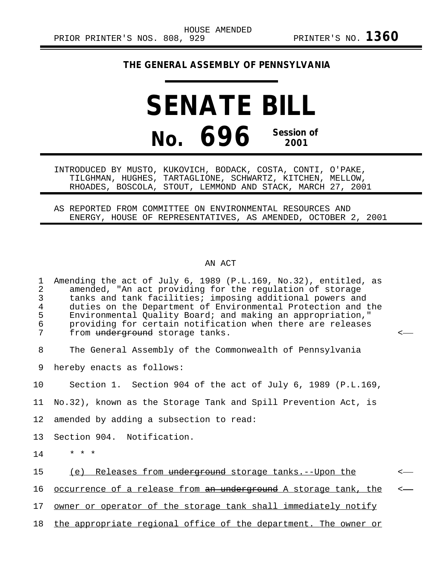## **THE GENERAL ASSEMBLY OF PENNSYLVANIA**

## **SENATE BILL No. 696 Session of 2001**

INTRODUCED BY MUSTO, KUKOVICH, BODACK, COSTA, CONTI, O'PAKE, TILGHMAN, HUGHES, TARTAGLIONE, SCHWARTZ, KITCHEN, MELLOW, RHOADES, BOSCOLA, STOUT, LEMMOND AND STACK, MARCH 27, 2001

AS REPORTED FROM COMMITTEE ON ENVIRONMENTAL RESOURCES AND ENERGY, HOUSE OF REPRESENTATIVES, AS AMENDED, OCTOBER 2, 2001

## AN ACT

| $\mathbf 1$<br>$\mathbf{2}$<br>3<br>$\overline{4}$<br>5<br>6<br>7 | Amending the act of July 6, 1989 (P.L.169, No.32), entitled, as<br>amended, "An act providing for the regulation of storage<br>tanks and tank facilities; imposing additional powers and<br>duties on the Department of Environmental Protection and the<br>Environmental Quality Board; and making an appropriation,"<br>providing for certain notification when there are releases<br>from underground storage tanks. | $\overline{a}$ |
|-------------------------------------------------------------------|-------------------------------------------------------------------------------------------------------------------------------------------------------------------------------------------------------------------------------------------------------------------------------------------------------------------------------------------------------------------------------------------------------------------------|----------------|
| 8                                                                 | The General Assembly of the Commonwealth of Pennsylvania                                                                                                                                                                                                                                                                                                                                                                |                |
| 9                                                                 | hereby enacts as follows:                                                                                                                                                                                                                                                                                                                                                                                               |                |
| 10                                                                | Section 1. Section 904 of the act of July 6, 1989 (P.L.169,                                                                                                                                                                                                                                                                                                                                                             |                |
| 11 <sub>1</sub>                                                   | No.32), known as the Storage Tank and Spill Prevention Act, is                                                                                                                                                                                                                                                                                                                                                          |                |
| 12 <sub>2</sub>                                                   | amended by adding a subsection to read:                                                                                                                                                                                                                                                                                                                                                                                 |                |
| 13                                                                | Section 904. Notification.                                                                                                                                                                                                                                                                                                                                                                                              |                |
| 14                                                                | $* * *$                                                                                                                                                                                                                                                                                                                                                                                                                 |                |
| 15                                                                | (e) Releases from underground storage tanks.--Upon the                                                                                                                                                                                                                                                                                                                                                                  | $\leftarrow$   |
| 16                                                                | occurrence of a release from an underground A storage tank, the                                                                                                                                                                                                                                                                                                                                                         | $\leftarrow$   |
| 17 <sub>2</sub>                                                   | owner or operator of the storage tank shall immediately notify                                                                                                                                                                                                                                                                                                                                                          |                |
| 18                                                                | the appropriate regional office of the department. The owner or                                                                                                                                                                                                                                                                                                                                                         |                |
|                                                                   |                                                                                                                                                                                                                                                                                                                                                                                                                         |                |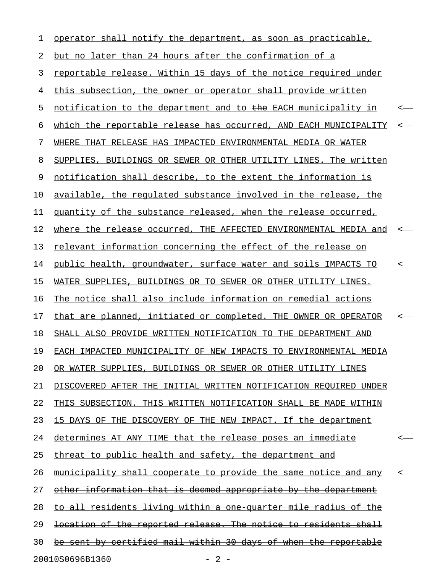| 1  | operator shall notify the department, as soon as practicable,           |              |  |  |
|----|-------------------------------------------------------------------------|--------------|--|--|
| 2  | but no later than 24 hours after the confirmation of a                  |              |  |  |
| 3  | reportable release. Within 15 days of the notice required under         |              |  |  |
| 4  | this subsection, the owner or operator shall provide written            |              |  |  |
| 5  | notification to the department and to the EACH municipality in          | <—           |  |  |
| 6  | which the reportable release has occurred, AND EACH MUNICIPALITY        | $\leftarrow$ |  |  |
| 7  | WHERE THAT RELEASE HAS IMPACTED ENVIRONMENTAL MEDIA OR WATER            |              |  |  |
| 8  | SUPPLIES, BUILDINGS OR SEWER OR OTHER UTILITY LINES. The written        |              |  |  |
| 9  | notification shall describe, to the extent the information is           |              |  |  |
| 10 | available, the regulated substance involved in the release, the         |              |  |  |
| 11 | quantity of the substance released, when the release occurred,          |              |  |  |
| 12 | where the release occurred, THE AFFECTED ENVIRONMENTAL MEDIA and        | $\leftarrow$ |  |  |
| 13 | <u>relevant information concerning the effect of the release on</u>     |              |  |  |
| 14 | public health, groundwater, surface water and soils IMPACTS TO          | <—           |  |  |
| 15 | WATER SUPPLIES, BUILDINGS OR TO SEWER OR OTHER UTILITY LINES.           |              |  |  |
| 16 | The notice shall also include information on remedial actions           |              |  |  |
| 17 | that are planned, initiated or completed. THE OWNER OR OPERATOR         | <–           |  |  |
| 18 | SHALL ALSO PROVIDE WRITTEN NOTIFICATION TO THE DEPARTMENT AND           |              |  |  |
| 19 | EACH IMPACTED MUNICIPALITY OF NEW IMPACTS TO ENVIRONMENTAL MEDIA        |              |  |  |
| 20 | OR WATER SUPPLIES, BUILDINGS OR SEWER OR OTHER UTILITY LINES            |              |  |  |
| 21 | DISCOVERED AFTER THE INITIAL WRITTEN NOTIFICATION REQUIRED UNDER        |              |  |  |
| 22 | THIS SUBSECTION. THIS WRITTEN NOTIFICATION SHALL BE MADE WITHIN         |              |  |  |
| 23 | 15 DAYS OF THE DISCOVERY OF THE NEW IMPACT. If the department           |              |  |  |
| 24 | determines AT ANY TIME that the release poses an immediate              | $\leftarrow$ |  |  |
| 25 | threat to public health and safety, the department and                  |              |  |  |
| 26 | <u>municipality shall cooperate to provide the same notice and any</u>  | $\leftarrow$ |  |  |
| 27 | other information that is deemed appropriate by the department          |              |  |  |
| 28 | <u>to all residents living within a one quarter mile radius of the </u> |              |  |  |
| 29 | location of the reported release. The notice to residents shall         |              |  |  |
| 30 | be sent by certified mail within 30 days of when the reportable         |              |  |  |
|    | 20010S0696B1360<br>$-2-$                                                |              |  |  |